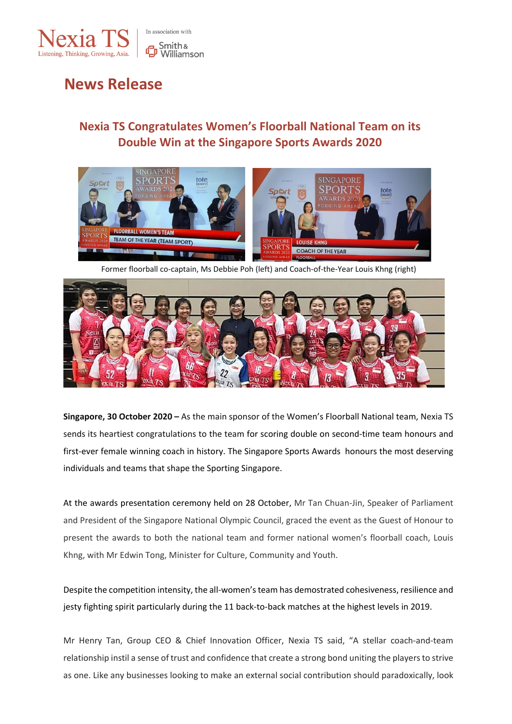

# **News Release**

# **Nexia TS Congratulates Women's Floorball National Team on its Double Win at the Singapore Sports Awards 2020**



Former floorball co-captain, Ms Debbie Poh (left) and Coach-of-the-Year Louis Khng (right)



**Singapore, 30 October 2020 –** As the main sponsor of the Women's Floorball National team, Nexia TS sends its heartiest congratulations to the team for scoring double on second-time team honours and first-ever female winning coach in history. The Singapore Sports Awards honours the most deserving individuals and teams that shape the Sporting Singapore.

At the awards presentation ceremony held on 28 October, Mr Tan Chuan-Jin, Speaker of Parliament and President of the Singapore National Olympic Council, graced the event as the Guest of Honour to present the awards to both the national team and former national women's floorball coach, Louis Khng, with Mr Edwin Tong, Minister for Culture, Community and Youth.

Despite the competition intensity, the all-women's team has demostrated cohesiveness, resilience and jesty fighting spirit particularly during the 11 back-to-back matches at the highest levels in 2019.

Mr Henry Tan, Group CEO & Chief Innovation Officer, Nexia TS said, "A stellar coach-and-team relationship instil a sense of trust and confidence that create a strong bond uniting the players to strive as one. Like any businesses looking to make an external social contribution should paradoxically, look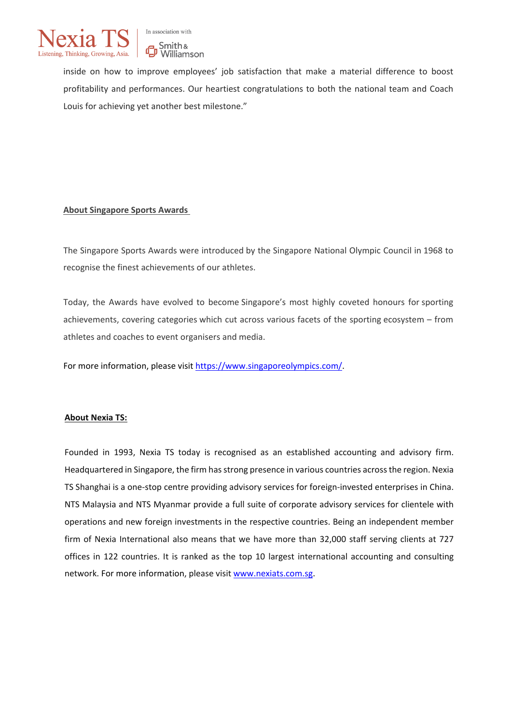

inside on how to improve employees' job satisfaction that make a material difference to boost profitability and performances. Our heartiest congratulations to both the national team and Coach Louis for achieving yet another best milestone."

## **About Singapore Sports Awards**

The Singapore Sports Awards were introduced by the Singapore National Olympic Council in 1968 to recognise the finest achievements of our athletes.

Today, the Awards have evolved to become Singapore's most highly coveted honours for sporting achievements, covering categories which cut across various facets of the sporting ecosystem – from athletes and coaches to event organisers and media.

For more information, please visit [https://www.singaporeolympics.com/.](https://www.singaporeolympics.com/)

## **About Nexia TS:**

Founded in 1993, Nexia TS today is recognised as an established accounting and advisory firm. Headquartered in Singapore, the firm has strong presence in various countries across the region. Nexia TS Shanghai is a one-stop centre providing advisory services for foreign-invested enterprises in China. NTS Malaysia and NTS Myanmar provide a full suite of corporate advisory services for clientele with operations and new foreign investments in the respective countries. Being an independent member firm of Nexia International also means that we have more than 32,000 staff serving clients at 727 offices in 122 countries. It is ranked as the top 10 largest international accounting and consulting network. For more information, please visit [www.nexiats.com.sg.](http://www.nexiats.com.sg/)